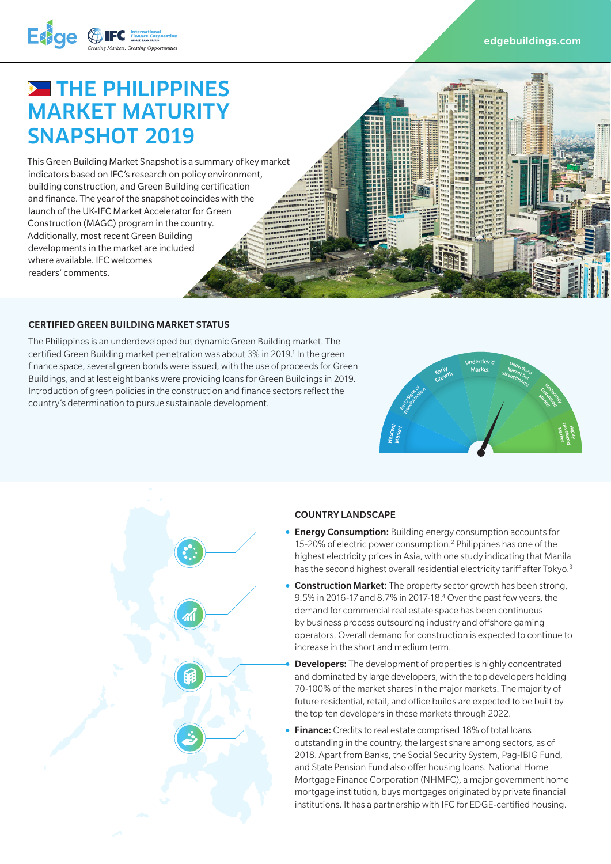



# **BE THE PHILIPPINES** MARKET MATURITY SNAPSHOT 2019

This Green Building Market Snapshot is a summary of key market indicators based on IFC's research on policy environment, building construction, and Green Building certification and finance. The year of the snapshot coincides with the launch of the UK-IFC Market Accelerator for Green Construction (MAGC) program in the country. Additionally, most recent Green Building developments in the market are included where available. IFC welcomes readers' comments.

#### CERTIFIED GREEN BUILDING MARKET STATUS

The Philippines is an underdeveloped but dynamic Green Building market. The certified Green Building market penetration was about 3% in 2019.<sup>1</sup> In the green finance space, several green bonds were issued, with the use of proceeds for Green Buildings, and at lest eight banks were providing loans for Green Buildings in 2019. Introduction of green policies in the construction and finance sectors reflect the country's determination to pursue sustainable development.





#### COUNTRY LANDSCAPE

- **Energy Consumption:** Building energy consumption accounts for 15-20% of electric power consumption.<sup>2</sup> Philippines has one of the highest electricity prices in Asia, with one study indicating that Manila has the second highest overall residential electricity tariff after Tokyo.<sup>3</sup>
- Construction Market: The property sector growth has been strong, 9.5% in 2016-17 and 8.7% in 2017-18.<sup>4</sup> Over the past few years, the demand for commercial real estate space has been continuous by business process outsourcing industry and offshore gaming operators. Overall demand for construction is expected to continue to increase in the short and medium term.
- **Developers:** The development of properties is highly concentrated and dominated by large developers, with the top developers holding 70-100% of the market shares in the major markets. The majority of future residential, retail, and office builds are expected to be built by the top ten developers in these markets through 2022.
- Finance: Credits to real estate comprised 18% of total loans outstanding in the country, the largest share among sectors, as of 2018. Apart from Banks, the Social Security System, Pag-IBIG Fund, and State Pension Fund also offer housing loans. National Home Mortgage Finance Corporation (NHMFC), a major government home mortgage institution, buys mortgages originated by private financial institutions. It has a partnership with IFC for EDGE-certified housing.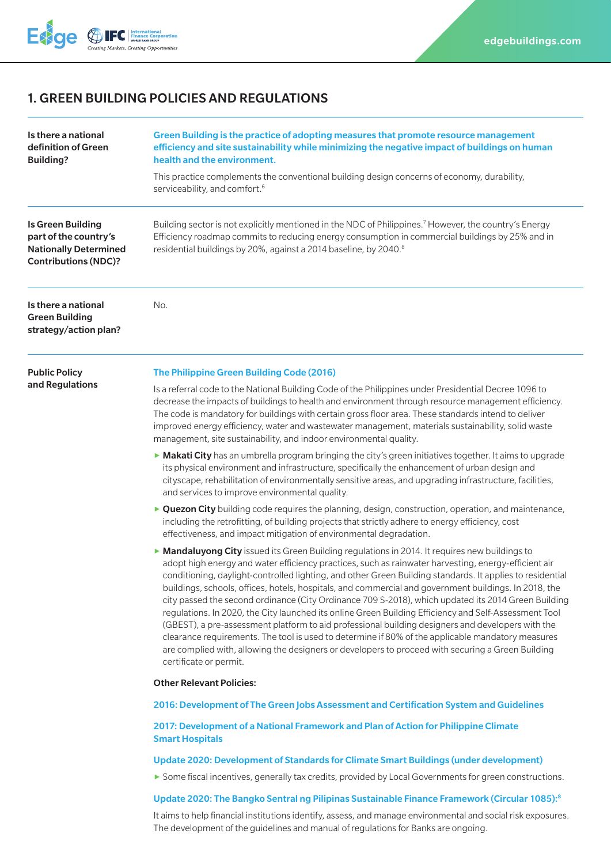

# 1. GREEN BUILDING POLICIES AND REGULATIONS

| Is there a national<br>definition of Green<br><b>Building?</b>                                                   | Green Building is the practice of adopting measures that promote resource management<br>efficiency and site sustainability while minimizing the negative impact of buildings on human<br>health and the environment.<br>This practice complements the conventional building design concerns of economy, durability,<br>serviceability, and comfort. <sup>6</sup>                                                                                                                                                                                                                                                                                                                                                                                                                                                                                                                                                                                                                      |
|------------------------------------------------------------------------------------------------------------------|---------------------------------------------------------------------------------------------------------------------------------------------------------------------------------------------------------------------------------------------------------------------------------------------------------------------------------------------------------------------------------------------------------------------------------------------------------------------------------------------------------------------------------------------------------------------------------------------------------------------------------------------------------------------------------------------------------------------------------------------------------------------------------------------------------------------------------------------------------------------------------------------------------------------------------------------------------------------------------------|
| <b>Is Green Building</b><br>part of the country's<br><b>Nationally Determined</b><br><b>Contributions (NDC)?</b> | Building sector is not explicitly mentioned in the NDC of Philippines. <sup>7</sup> However, the country's Energy<br>Efficiency roadmap commits to reducing energy consumption in commercial buildings by 25% and in<br>residential buildings by 20%, against a 2014 baseline, by 2040.8                                                                                                                                                                                                                                                                                                                                                                                                                                                                                                                                                                                                                                                                                              |
| Is there a national<br><b>Green Building</b><br>strategy/action plan?                                            | No.                                                                                                                                                                                                                                                                                                                                                                                                                                                                                                                                                                                                                                                                                                                                                                                                                                                                                                                                                                                   |
| <b>Public Policy</b><br>and Regulations                                                                          | The Philippine Green Building Code (2016)                                                                                                                                                                                                                                                                                                                                                                                                                                                                                                                                                                                                                                                                                                                                                                                                                                                                                                                                             |
|                                                                                                                  | Is a referral code to the National Building Code of the Philippines under Presidential Decree 1096 to<br>decrease the impacts of buildings to health and environment through resource management efficiency.<br>The code is mandatory for buildings with certain gross floor area. These standards intend to deliver<br>improved energy efficiency, water and wastewater management, materials sustainability, solid waste<br>management, site sustainability, and indoor environmental quality.                                                                                                                                                                                                                                                                                                                                                                                                                                                                                      |
|                                                                                                                  | Makati City has an umbrella program bringing the city's green initiatives together. It aims to upgrade<br>its physical environment and infrastructure, specifically the enhancement of urban design and<br>cityscape, rehabilitation of environmentally sensitive areas, and upgrading infrastructure, facilities,<br>and services to improve environmental quality.                                                                                                                                                                                                                                                                                                                                                                                                                                                                                                                                                                                                                  |
|                                                                                                                  | ► Quezon City building code requires the planning, design, construction, operation, and maintenance,<br>including the retrofitting, of building projects that strictly adhere to energy efficiency, cost<br>effectiveness, and impact mitigation of environmental degradation.                                                                                                                                                                                                                                                                                                                                                                                                                                                                                                                                                                                                                                                                                                        |
|                                                                                                                  | ► Mandaluyong City issued its Green Building regulations in 2014. It requires new buildings to<br>adopt high energy and water efficiency practices, such as rainwater harvesting, energy-efficient air<br>conditioning, daylight-controlled lighting, and other Green Building standards. It applies to residential<br>buildings, schools, offices, hotels, hospitals, and commercial and government buildings. In 2018, the<br>city passed the second ordinance (City Ordinance 709 S-2018), which updated its 2014 Green Building<br>regulations. In 2020, the City launched its online Green Building Efficiency and Self-Assessment Tool<br>(GBEST), a pre-assessment platform to aid professional building designers and developers with the<br>clearance requirements. The tool is used to determine if 80% of the applicable mandatory measures<br>are complied with, allowing the designers or developers to proceed with securing a Green Building<br>certificate or permit. |
|                                                                                                                  | <b>Other Relevant Policies:</b>                                                                                                                                                                                                                                                                                                                                                                                                                                                                                                                                                                                                                                                                                                                                                                                                                                                                                                                                                       |
|                                                                                                                  | 2016: Development of The Green Jobs Assessment and Certification System and Guidelines                                                                                                                                                                                                                                                                                                                                                                                                                                                                                                                                                                                                                                                                                                                                                                                                                                                                                                |
|                                                                                                                  | 2017: Development of a National Framework and Plan of Action for Philippine Climate<br><b>Smart Hospitals</b>                                                                                                                                                                                                                                                                                                                                                                                                                                                                                                                                                                                                                                                                                                                                                                                                                                                                         |
|                                                                                                                  | Update 2020: Development of Standards for Climate Smart Buildings (under development)                                                                                                                                                                                                                                                                                                                                                                                                                                                                                                                                                                                                                                                                                                                                                                                                                                                                                                 |
|                                                                                                                  | Some fiscal incentives, generally tax credits, provided by Local Governments for green constructions.                                                                                                                                                                                                                                                                                                                                                                                                                                                                                                                                                                                                                                                                                                                                                                                                                                                                                 |
|                                                                                                                  | Update 2020: The Bangko Sentral ng Pilipinas Sustainable Finance Framework (Circular 1085):8                                                                                                                                                                                                                                                                                                                                                                                                                                                                                                                                                                                                                                                                                                                                                                                                                                                                                          |
|                                                                                                                  | It aims to help financial institutions identify, assess, and manage environmental and social risk exposures.<br>The development of the guidelines and manual of regulations for Banks are ongoing.                                                                                                                                                                                                                                                                                                                                                                                                                                                                                                                                                                                                                                                                                                                                                                                    |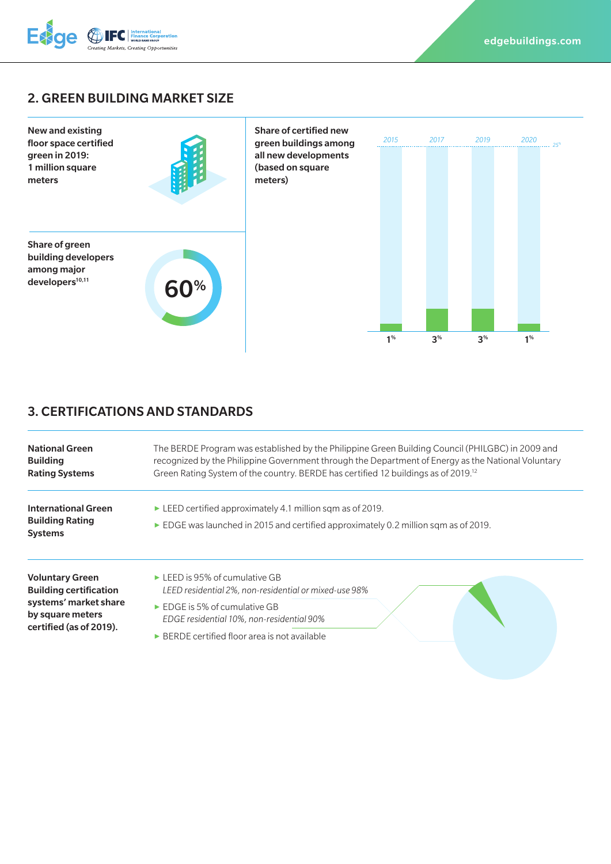

# 2. GREEN BUILDING MARKET SIZE



# 3. CERTIFICATIONS AND STANDARDS

| <b>National Green</b><br><b>Building</b><br><b>Rating Systems</b>                                                               | The BERDE Program was established by the Philippine Green Building Council (PHILGBC) in 2009 and<br>recognized by the Philippine Government through the Department of Energy as the National Voluntary<br>Green Rating System of the country. BERDE has certified 12 buildings as of 2019. <sup>12</sup> |
|---------------------------------------------------------------------------------------------------------------------------------|----------------------------------------------------------------------------------------------------------------------------------------------------------------------------------------------------------------------------------------------------------------------------------------------------------|
| <b>International Green</b><br><b>Building Rating</b><br><b>Systems</b>                                                          | $\blacktriangleright$ LEED certified approximately 4.1 million sqm as of 2019.<br>EDGE was launched in 2015 and certified approximately 0.2 million sqm as of 2019.                                                                                                                                      |
| <b>Voluntary Green</b><br><b>Building certification</b><br>systems' market share<br>by square meters<br>certified (as of 2019). | $\triangleright$ LEED is 95% of cumulative GB<br>LEED residential 2%, non-residential or mixed-use 98%<br>$\triangleright$ EDGE is 5% of cumulative GB<br>EDGE residential 10%, non-residential 90%                                                                                                      |
|                                                                                                                                 | $\triangleright$ BERDE certified floor area is not available                                                                                                                                                                                                                                             |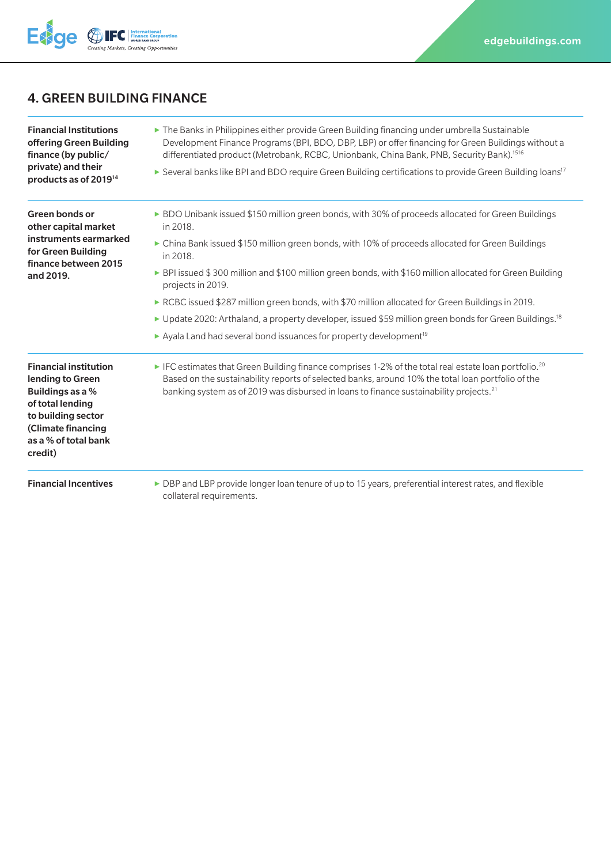

# 4. GREEN BUILDING FINANCE

| <b>Financial Institutions</b><br>offering Green Building<br>finance (by public/<br>private) and their<br>products as of 2019 <sup>14</sup>                              | The Banks in Philippines either provide Green Building financing under umbrella Sustainable<br>Development Finance Programs (BPI, BDO, DBP, LBP) or offer financing for Green Buildings without a<br>differentiated product (Metrobank, RCBC, Unionbank, China Bank, PNB, Security Bank). <sup>1516</sup><br>► Several banks like BPI and BDO require Green Building certifications to provide Green Building loans <sup>17</sup>                                                                                                                                                                                                                                                                  |
|-------------------------------------------------------------------------------------------------------------------------------------------------------------------------|----------------------------------------------------------------------------------------------------------------------------------------------------------------------------------------------------------------------------------------------------------------------------------------------------------------------------------------------------------------------------------------------------------------------------------------------------------------------------------------------------------------------------------------------------------------------------------------------------------------------------------------------------------------------------------------------------|
| Green bonds or<br>other capital market<br>instruments earmarked<br>for Green Building<br>finance between 2015<br>and 2019.                                              | ► BDO Unibank issued \$150 million green bonds, with 30% of proceeds allocated for Green Buildings<br>in 2018.<br>► China Bank issued \$150 million green bonds, with 10% of proceeds allocated for Green Buildings<br>in 2018.<br>► BPI issued \$300 million and \$100 million green bonds, with \$160 million allocated for Green Building<br>projects in 2019.<br>► RCBC issued \$287 million green bonds, with \$70 million allocated for Green Buildings in 2019.<br>► Update 2020: Arthaland, a property developer, issued \$59 million green bonds for Green Buildings. <sup>18</sup><br>$\blacktriangleright$ Ayala Land had several bond issuances for property development <sup>19</sup> |
| <b>Financial institution</b><br>lending to Green<br>Buildings as a %<br>of total lending<br>to building sector<br>(Climate financing<br>as a % of total bank<br>credit) | FC estimates that Green Building finance comprises 1-2% of the total real estate loan portfolio. <sup>20</sup><br>Based on the sustainability reports of selected banks, around 10% the total loan portfolio of the<br>banking system as of 2019 was disbursed in loans to finance sustainability projects. <sup>21</sup>                                                                                                                                                                                                                                                                                                                                                                          |
| <b>Financial Incentives</b>                                                                                                                                             | ► DBP and LBP provide longer loan tenure of up to 15 years, preferential interest rates, and flexible<br>collateral requirements.                                                                                                                                                                                                                                                                                                                                                                                                                                                                                                                                                                  |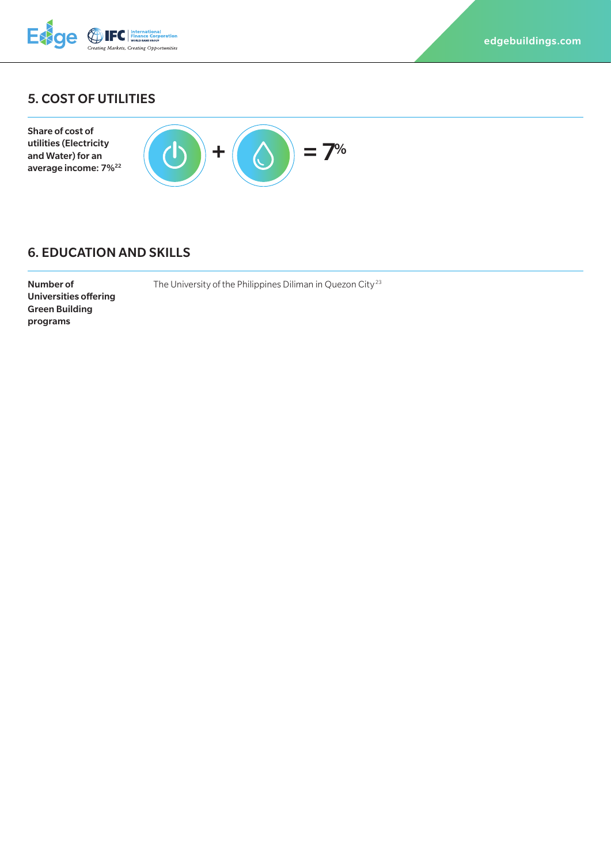

# 5. COST OF UTILITIES



### 6. EDUCATION AND SKILLS

Number of Universities offering Green Building programs

The University of the Philippines Diliman in Quezon City<sup>23</sup>